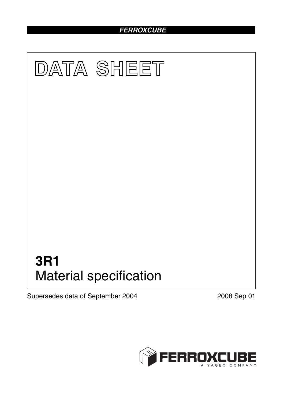# *FERROXCUBE*



Supersedes data of September 2004 2008 Sep 01

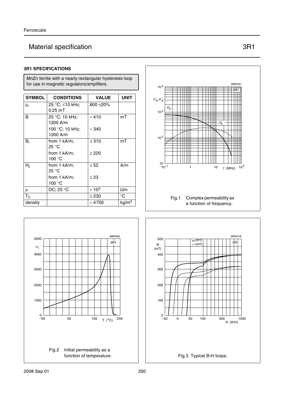# Material specification 3R1

### **3R1 SPECIFICATIONS**

MnZn ferrite with a nearly rectangular hysteresis loop for use in magnetic regulators/amplifiers.

| <b>SYMBOL</b> | <b>CONDITIONS</b>                 | <b>VALUE</b>   | <b>UNIT</b>       |
|---------------|-----------------------------------|----------------|-------------------|
| $\mu_i$       | 25 °C; ≤10 kHz;<br>$0.25$ mT      | 800 ± 20%      |                   |
| B             | 25 °C; 10 kHz;<br>1200 A/m        | $\approx 410$  | mT                |
|               | 100 °C; 10 kHz;<br>1200 A/m       | $\approx 340$  |                   |
| $B_r$         | from 1 kA/m:<br>25 °C             | $\geq 310$     | mT                |
|               | from $1$ kA/m;<br>100 $\degree$ C | $\geq$ 220     |                   |
| $H_c$         | from 1 kA/m;<br>25 °C             | $\leq 52$      | A/m               |
|               | from 1 kA/m;<br>100 °C            | $\leq$ 23      |                   |
| ρ             | DC; 25 $\degree$ C                | $\approx 10^3$ | $\Omega$ m        |
| $T_{\rm C}$   |                                   | $\geq$ 230     | $^{\circ}C$       |
| density       |                                   | $\approx 4700$ | kg/m <sup>3</sup> |







*handbook, halfpage* <sup>5000</sup>

1000

2000

3000

4000  $\mu_i$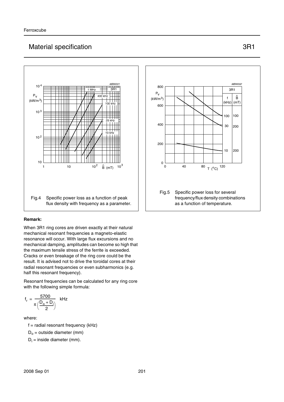## Material specification 3R1

## Fig.4 Specific power loss as a function of peak flux density with frequency as a parameter. *handbook, halfpage MBW001* 1 10  $10^2$   $\hat{B}$  (mT)  $10^3$ 10 10 <sup>4</sup> Pv  $(kW/m<sup>3</sup>)$ 3R1  $10<sup>2</sup>$ 10 <sup>3</sup> 1 MHz  $400$  $10^{-1}$ 25 kHz 100 kHz

#### **Remark:**

When 3R1 ring cores are driven exactly at their natural mechanical resonant frequencies a magneto-elastic resonance will occur. With large flux excursions and no mechanical damping, amplitudes can become so high that the maximum tensile stress of the ferrite is exceeded. Cracks or even breakage of the ring core could be the result. It is advised not to drive the toroidal cores at their radial resonant frequencies or even subharmonics (e.g. half this resonant frequency).

Resonant frequencies can be calculated for any ring core with the following simple formula:

$$
f_r = \frac{5700}{\pi \left(\frac{D_o + D_i}{2}\right)} \quad \text{kHz}
$$

where:

 $f =$  radial resonant frequency (kHz)

 $D<sub>o</sub>$  = outside diameter (mm)

 $D_i$  = inside diameter (mm).